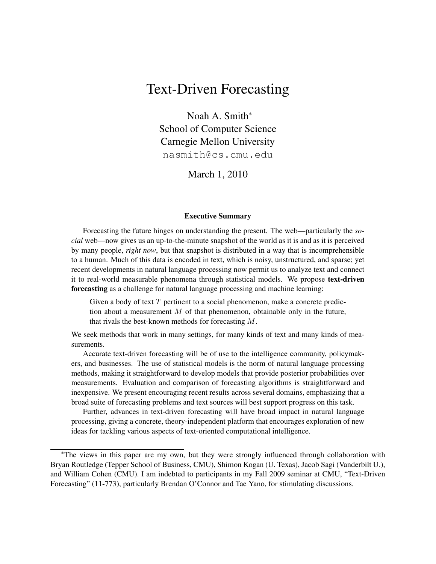# Text-Driven Forecasting

Noah A. Smith<sup>∗</sup> School of Computer Science Carnegie Mellon University nasmith@cs.cmu.edu

March 1, 2010

#### Executive Summary

Forecasting the future hinges on understanding the present. The web—particularly the *social* web—now gives us an up-to-the-minute snapshot of the world as it is and as it is perceived by many people, *right now*, but that snapshot is distributed in a way that is incomprehensible to a human. Much of this data is encoded in text, which is noisy, unstructured, and sparse; yet recent developments in natural language processing now permit us to analyze text and connect it to real-world measurable phenomena through statistical models. We propose **text-driven** forecasting as a challenge for natural language processing and machine learning:

Given a body of text  $T$  pertinent to a social phenomenon, make a concrete prediction about a measurement  $M$  of that phenomenon, obtainable only in the future, that rivals the best-known methods for forecasting M.

We seek methods that work in many settings, for many kinds of text and many kinds of measurements.

Accurate text-driven forecasting will be of use to the intelligence community, policymakers, and businesses. The use of statistical models is the norm of natural language processing methods, making it straightforward to develop models that provide posterior probabilities over measurements. Evaluation and comparison of forecasting algorithms is straightforward and inexpensive. We present encouraging recent results across several domains, emphasizing that a broad suite of forecasting problems and text sources will best support progress on this task.

Further, advances in text-driven forecasting will have broad impact in natural language processing, giving a concrete, theory-independent platform that encourages exploration of new ideas for tackling various aspects of text-oriented computational intelligence.

<sup>∗</sup>The views in this paper are my own, but they were strongly influenced through collaboration with Bryan Routledge (Tepper School of Business, CMU), Shimon Kogan (U. Texas), Jacob Sagi (Vanderbilt U.), and William Cohen (CMU). I am indebted to participants in my Fall 2009 seminar at CMU, "Text-Driven Forecasting" (11-773), particularly Brendan O'Connor and Tae Yano, for stimulating discussions.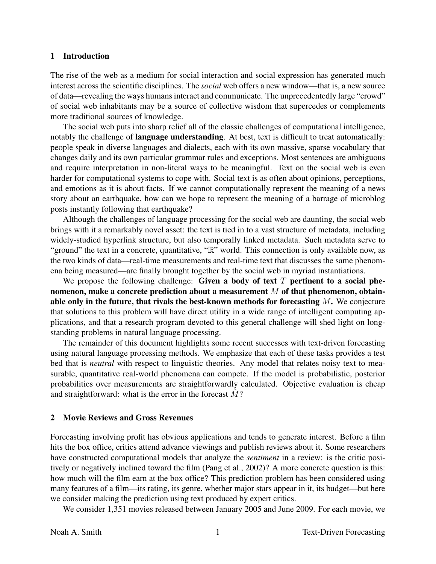#### 1 Introduction

The rise of the web as a medium for social interaction and social expression has generated much interest across the scientific disciplines. The *social* web offers a new window—that is, a new source of data—revealing the ways humans interact and communicate. The unprecedentedly large "crowd" of social web inhabitants may be a source of collective wisdom that supercedes or complements more traditional sources of knowledge.

The social web puts into sharp relief all of the classic challenges of computational intelligence, notably the challenge of language understanding. At best, text is difficult to treat automatically: people speak in diverse languages and dialects, each with its own massive, sparse vocabulary that changes daily and its own particular grammar rules and exceptions. Most sentences are ambiguous and require interpretation in non-literal ways to be meaningful. Text on the social web is even harder for computational systems to cope with. Social text is as often about opinions, perceptions, and emotions as it is about facts. If we cannot computationally represent the meaning of a news story about an earthquake, how can we hope to represent the meaning of a barrage of microblog posts instantly following that earthquake?

Although the challenges of language processing for the social web are daunting, the social web brings with it a remarkably novel asset: the text is tied in to a vast structure of metadata, including widely-studied hyperlink structure, but also temporally linked metadata. Such metadata serve to "ground" the text in a concrete, quantitative, "R" world. This connection is only available now, as the two kinds of data—real-time measurements and real-time text that discusses the same phenomena being measured—are finally brought together by the social web in myriad instantiations.

We propose the following challenge: Given a body of text  $T$  pertinent to a social phenomenon, make a concrete prediction about a measurement  $M$  of that phenomenon, obtainable only in the future, that rivals the best-known methods for forecasting  $M$ . We conjecture that solutions to this problem will have direct utility in a wide range of intelligent computing applications, and that a research program devoted to this general challenge will shed light on longstanding problems in natural language processing.

The remainder of this document highlights some recent successes with text-driven forecasting using natural language processing methods. We emphasize that each of these tasks provides a test bed that is *neutral* with respect to linguistic theories. Any model that relates noisy text to measurable, quantitative real-world phenomena can compete. If the model is probabilistic, posterior probabilities over measurements are straightforwardly calculated. Objective evaluation is cheap and straightforward: what is the error in the forecast  $\hat{M}$ ?

#### 2 Movie Reviews and Gross Revenues

Forecasting involving profit has obvious applications and tends to generate interest. Before a film hits the box office, critics attend advance viewings and publish reviews about it. Some researchers have constructed computational models that analyze the *sentiment* in a review: is the critic positively or negatively inclined toward the film (Pang et al., 2002)? A more concrete question is this: how much will the film earn at the box office? This prediction problem has been considered using many features of a film—its rating, its genre, whether major stars appear in it, its budget—but here we consider making the prediction using text produced by expert critics.

We consider 1,351 movies released between January 2005 and June 2009. For each movie, we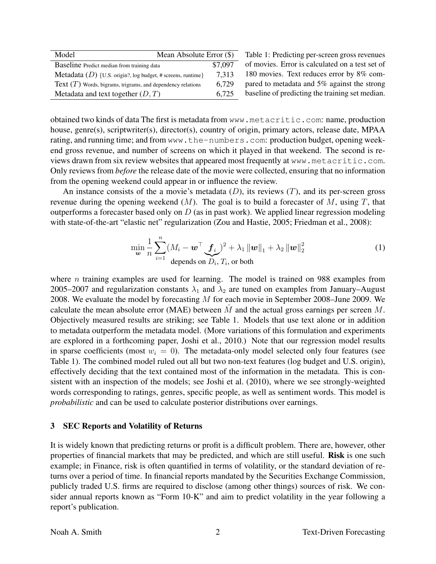| Model                                                         | Mean Absolute Error (\$) |  |
|---------------------------------------------------------------|--------------------------|--|
| Baseline Predict median from training data                    | \$7,097                  |  |
| Metadata $(D)$ {U.S. origin?, log budget, # screens, runtime} | 7,313                    |  |
| Text $(T)$ Words, bigrams, trigrams, and dependency relations | 6,729                    |  |
| Metadata and text together $(D, T)$                           | 6.725                    |  |

Table 1: Predicting per-screen gross revenues of movies. Error is calculated on a test set of 180 movies. Text reduces error by 8% compared to metadata and 5% against the strong baseline of predicting the training set median.

obtained two kinds of data The first is metadata from www.metacritic.com: name, production house, genre(s), scriptwriter(s), director(s), country of origin, primary actors, release date, MPAA rating, and running time; and from www.the-numbers.com: production budget, opening weekend gross revenue, and number of screens on which it played in that weekend. The second is reviews drawn from six review websites that appeared most frequently at www.metacritic.com. Only reviews from *before* the release date of the movie were collected, ensuring that no information from the opening weekend could appear in or influence the review.

An instance consists of the a movie's metadata  $(D)$ , its reviews  $(T)$ , and its per-screen gross revenue during the opening weekend  $(M)$ . The goal is to build a forecaster of M, using T, that outperforms a forecaster based only on  $D$  (as in past work). We applied linear regression modeling with state-of-the-art "elastic net" regularization (Zou and Hastie, 2005; Friedman et al., 2008):

$$
\min_{\mathbf{w}} \frac{1}{n} \sum_{i=1}^{n} (M_i - \mathbf{w}^{\top} \mathbf{f}_i)^2 + \lambda_1 \|\mathbf{w}\|_1 + \lambda_2 \|\mathbf{w}\|_2^2
$$
\n(1)  
depends on  $D_i, T_i$ , or both

where *n* training examples are used for learning. The model is trained on 988 examples from 2005–2007 and regularization constants  $\lambda_1$  and  $\lambda_2$  are tuned on examples from January–August 2008. We evaluate the model by forecasting  $M$  for each movie in September 2008–June 2009. We calculate the mean absolute error (MAE) between  $\hat{M}$  and the actual gross earnings per screen M. Objectively measured results are striking; see Table 1. Models that use text alone or in addition to metadata outperform the metadata model. (More variations of this formulation and experiments are explored in a forthcoming paper, Joshi et al., 2010.) Note that our regression model results in sparse coefficients (most  $w_i = 0$ ). The metadata-only model selected only four features (see Table 1). The combined model ruled out all but two non-text features (log budget and U.S. origin), effectively deciding that the text contained most of the information in the metadata. This is consistent with an inspection of the models; see Joshi et al. (2010), where we see strongly-weighted words corresponding to ratings, genres, specific people, as well as sentiment words. This model is *probabilistic* and can be used to calculate posterior distributions over earnings.

### 3 SEC Reports and Volatility of Returns

It is widely known that predicting returns or profit is a difficult problem. There are, however, other properties of financial markets that may be predicted, and which are still useful. Risk is one such example; in Finance, risk is often quantified in terms of volatility, or the standard deviation of returns over a period of time. In financial reports mandated by the Securities Exchange Commission, publicly traded U.S. firms are required to disclose (among other things) sources of risk. We consider annual reports known as "Form 10-K" and aim to predict volatility in the year following a report's publication.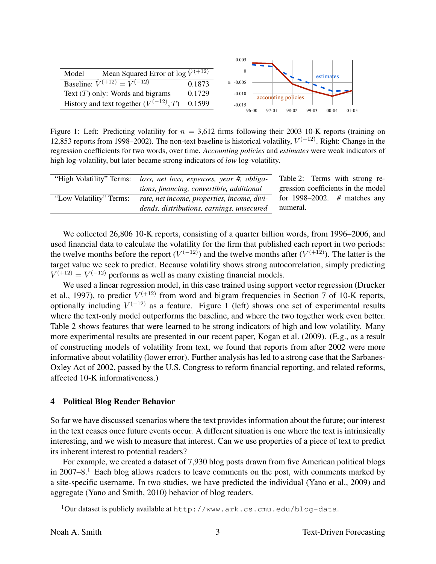|                                                                  |        | 0.005         |       |       |                     |       |           |           |
|------------------------------------------------------------------|--------|---------------|-------|-------|---------------------|-------|-----------|-----------|
|                                                                  |        |               |       |       |                     |       |           |           |
| Mean Squared Error of $\log \hat{V}^{(+\overline{12})}$<br>Model |        |               |       |       |                     |       | estimates |           |
| <b>Baseline:</b> $\hat{V}^{(\pm 12)} = V^{(-12)}$                | 0.1873 | $\geq -0.005$ |       |       |                     |       |           |           |
| Text $(T)$ only: Words and bigrams                               | 0.1729 | $-0.010$      |       |       | accounting policies |       |           |           |
| History and text together $(V^{(-12)}, T)$                       | 0.1599 | $-0.015$      |       |       |                     |       |           |           |
|                                                                  |        |               | 96-00 | 97-01 | 98-02               | 99-03 | $00 - 04$ | $01 - 05$ |

Figure 1: Left: Predicting volatility for  $n = 3.612$  firms following their 2003 10-K reports (training on 12,853 reports from 1998–2002). The non-text baseline is historical volatility,  $V^{(-12)}$ . Right: Change in the regression coefficients for two words, over time. *Accounting policies* and *estimates* were weak indicators of high log-volatility, but later became strong indicators of *low* log-volatility.

|                         | "High Volatility" Terms: loss, net loss, expenses, year #, obliga- | Table 2: Terms with strong re-     |
|-------------------------|--------------------------------------------------------------------|------------------------------------|
|                         | tions, financing, convertible, additional                          | gression coefficients in the model |
| "Low Volatility" Terms: | rate, net income, properties, income, divi-                        | for 1998–2002. $#$ matches any     |
|                         | dends, distributions, earnings, unsecured                          | numeral.                           |

We collected 26,806 10-K reports, consisting of a quarter billion words, from 1996–2006, and used financial data to calculate the volatility for the firm that published each report in two periods: the twelve months before the report  $(V^{(-12)})$  and the twelve months after  $(V^{(+12)})$ . The latter is the target value we seek to predict. Because volatility shows strong autocorrelation, simply predicting  $V^{(+12)} = V^{(-12)}$  performs as well as many existing financial models.

We used a linear regression model, in this case trained using support vector regression (Drucker et al., 1997), to predict  $V^{(+12)}$  from word and bigram frequencies in Section 7 of 10-K reports, optionally including  $V^{(-12)}$  as a feature. Figure 1 (left) shows one set of experimental results where the text-only model outperforms the baseline, and where the two together work even better. Table 2 shows features that were learned to be strong indicators of high and low volatility. Many more experimental results are presented in our recent paper, Kogan et al. (2009). (E.g., as a result of constructing models of volatility from text, we found that reports from after 2002 were more informative about volatility (lower error). Further analysis has led to a strong case that the Sarbanes-Oxley Act of 2002, passed by the U.S. Congress to reform financial reporting, and related reforms, affected 10-K informativeness.)

### 4 Political Blog Reader Behavior

So far we have discussed scenarios where the text provides information about the future; our interest in the text ceases once future events occur. A different situation is one where the text is intrinsically interesting, and we wish to measure that interest. Can we use properties of a piece of text to predict its inherent interest to potential readers?

For example, we created a dataset of 7,930 blog posts drawn from five American political blogs in 2007–8.<sup>1</sup> Each blog allows readers to leave comments on the post, with comments marked by a site-specific username. In two studies, we have predicted the individual (Yano et al., 2009) and aggregate (Yano and Smith, 2010) behavior of blog readers.

 $1$ Our dataset is publicly available at http://www.ark.cs.cmu.edu/blog-data.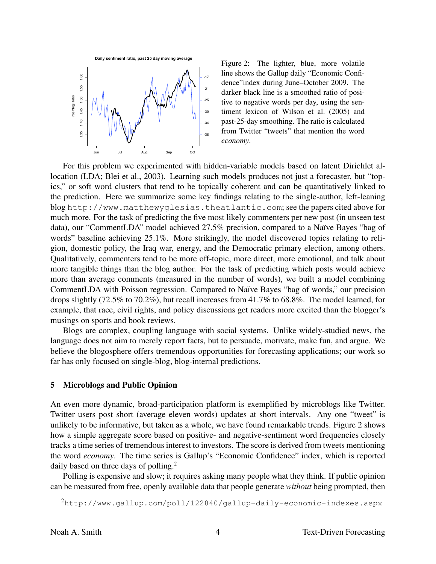

Figure 2: The lighter, blue, more volatile line shows the Gallup daily "Economic Confidence"index during June–October 2009. The darker black line is a smoothed ratio of positive to negative words per day, using the sentiment lexicon of Wilson et al. (2005) and past-25-day smoothing. The ratio is calculated from Twitter "tweets" that mention the word *economy*.

For this problem we experimented with hidden-variable models based on latent Dirichlet allocation (LDA; Blei et al., 2003). Learning such models produces not just a forecaster, but "topics," or soft word clusters that tend to be topically coherent and can be quantitatively linked to the prediction. Here we summarize some key findings relating to the single-author, left-leaning blog http://www.matthewyglesias.theatlantic.com; see the papers cited above for much more. For the task of predicting the five most likely commenters per new post (in unseen test data), our "CommentLDA" model achieved 27.5% precision, compared to a Naïve Bayes "bag of words" baseline achieving 25.1%. More strikingly, the model discovered topics relating to religion, domestic policy, the Iraq war, energy, and the Democratic primary election, among others. Qualitatively, commenters tend to be more off-topic, more direct, more emotional, and talk about more tangible things than the blog author. For the task of predicting which posts would achieve more than average comments (measured in the number of words), we built a model combining CommentLDA with Poisson regression. Compared to Naïve Bayes "bag of words," our precision drops slightly (72.5% to 70.2%), but recall increases from 41.7% to 68.8%. The model learned, for example, that race, civil rights, and policy discussions get readers more excited than the blogger's musings on sports and book reviews.

Blogs are complex, coupling language with social systems. Unlike widely-studied news, the language does not aim to merely report facts, but to persuade, motivate, make fun, and argue. We believe the blogosphere offers tremendous opportunities for forecasting applications; our work so far has only focused on single-blog, blog-internal predictions.

### 5 Microblogs and Public Opinion

An even more dynamic, broad-participation platform is exemplified by microblogs like Twitter. Twitter users post short (average eleven words) updates at short intervals. Any one "tweet" is unlikely to be informative, but taken as a whole, we have found remarkable trends. Figure 2 shows how a simple aggregate score based on positive- and negative-sentiment word frequencies closely tracks a time series of tremendous interest to investors. The score is derived from tweets mentioning the word *economy*. The time series is Gallup's "Economic Confidence" index, which is reported daily based on three days of polling.<sup>2</sup>

Polling is expensive and slow; it requires asking many people what they think. If public opinion can be measured from free, openly available data that people generate *without* being prompted, then

<sup>2</sup>http://www.gallup.com/poll/122840/gallup-daily-economic-indexes.aspx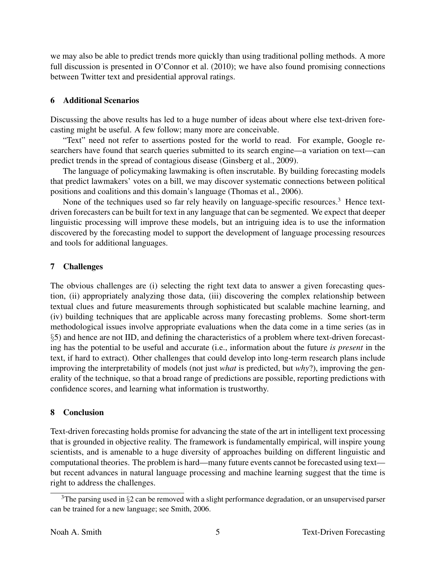we may also be able to predict trends more quickly than using traditional polling methods. A more full discussion is presented in O'Connor et al. (2010); we have also found promising connections between Twitter text and presidential approval ratings.

## 6 Additional Scenarios

Discussing the above results has led to a huge number of ideas about where else text-driven forecasting might be useful. A few follow; many more are conceivable.

"Text" need not refer to assertions posted for the world to read. For example, Google researchers have found that search queries submitted to its search engine—a variation on text—can predict trends in the spread of contagious disease (Ginsberg et al., 2009).

The language of policymaking lawmaking is often inscrutable. By building forecasting models that predict lawmakers' votes on a bill, we may discover systematic connections between political positions and coalitions and this domain's language (Thomas et al., 2006).

None of the techniques used so far rely heavily on language-specific resources.<sup>3</sup> Hence textdriven forecasters can be built for text in any language that can be segmented. We expect that deeper linguistic processing will improve these models, but an intriguing idea is to use the information discovered by the forecasting model to support the development of language processing resources and tools for additional languages.

## 7 Challenges

The obvious challenges are (i) selecting the right text data to answer a given forecasting question, (ii) appropriately analyzing those data, (iii) discovering the complex relationship between textual clues and future measurements through sophisticated but scalable machine learning, and (iv) building techniques that are applicable across many forecasting problems. Some short-term methodological issues involve appropriate evaluations when the data come in a time series (as in §5) and hence are not IID, and defining the characteristics of a problem where text-driven forecasting has the potential to be useful and accurate (i.e., information about the future *is present* in the text, if hard to extract). Other challenges that could develop into long-term research plans include improving the interpretability of models (not just *what* is predicted, but *why*?), improving the generality of the technique, so that a broad range of predictions are possible, reporting predictions with confidence scores, and learning what information is trustworthy.

## 8 Conclusion

Text-driven forecasting holds promise for advancing the state of the art in intelligent text processing that is grounded in objective reality. The framework is fundamentally empirical, will inspire young scientists, and is amenable to a huge diversity of approaches building on different linguistic and computational theories. The problem is hard—many future events cannot be forecasted using text but recent advances in natural language processing and machine learning suggest that the time is right to address the challenges.

<sup>&</sup>lt;sup>3</sup>The parsing used in §2 can be removed with a slight performance degradation, or an unsupervised parser can be trained for a new language; see Smith, 2006.